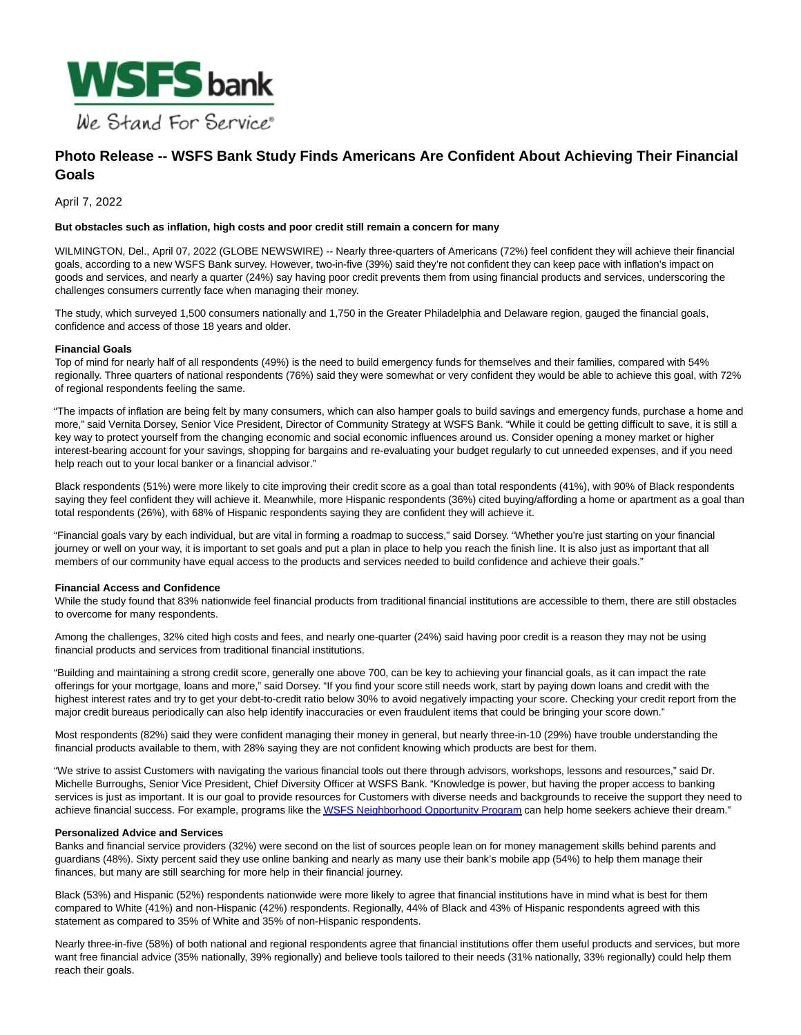

# **Photo Release -- WSFS Bank Study Finds Americans Are Confident About Achieving Their Financial Goals**

April 7, 2022

#### **But obstacles such as inflation, high costs and poor credit still remain a concern for many**

WILMINGTON, Del., April 07, 2022 (GLOBE NEWSWIRE) -- Nearly three-quarters of Americans (72%) feel confident they will achieve their financial goals, according to a new WSFS Bank survey. However, two-in-five (39%) said they're not confident they can keep pace with inflation's impact on goods and services, and nearly a quarter (24%) say having poor credit prevents them from using financial products and services, underscoring the challenges consumers currently face when managing their money.

The study, which surveyed 1,500 consumers nationally and 1,750 in the Greater Philadelphia and Delaware region, gauged the financial goals, confidence and access of those 18 years and older.

#### **Financial Goals**

Top of mind for nearly half of all respondents (49%) is the need to build emergency funds for themselves and their families, compared with 54% regionally. Three quarters of national respondents (76%) said they were somewhat or very confident they would be able to achieve this goal, with 72% of regional respondents feeling the same.

"The impacts of inflation are being felt by many consumers, which can also hamper goals to build savings and emergency funds, purchase a home and more," said Vernita Dorsey, Senior Vice President, Director of Community Strategy at WSFS Bank. "While it could be getting difficult to save, it is still a key way to protect yourself from the changing economic and social economic influences around us. Consider opening a money market or higher interest-bearing account for your savings, shopping for bargains and re-evaluating your budget regularly to cut unneeded expenses, and if you need help reach out to your local banker or a financial advisor."

Black respondents (51%) were more likely to cite improving their credit score as a goal than total respondents (41%), with 90% of Black respondents saying they feel confident they will achieve it. Meanwhile, more Hispanic respondents (36%) cited buying/affording a home or apartment as a goal than total respondents (26%), with 68% of Hispanic respondents saying they are confident they will achieve it.

"Financial goals vary by each individual, but are vital in forming a roadmap to success," said Dorsey. "Whether you're just starting on your financial journey or well on your way, it is important to set goals and put a plan in place to help you reach the finish line. It is also just as important that all members of our community have equal access to the products and services needed to build confidence and achieve their goals."

#### **Financial Access and Confidence**

While the study found that 83% nationwide feel financial products from traditional financial institutions are accessible to them, there are still obstacles to overcome for many respondents.

Among the challenges, 32% cited high costs and fees, and nearly one-quarter (24%) said having poor credit is a reason they may not be using financial products and services from traditional financial institutions.

"Building and maintaining a strong credit score, generally one above 700, can be key to achieving your financial goals, as it can impact the rate offerings for your mortgage, loans and more," said Dorsey. "If you find your score still needs work, start by paying down loans and credit with the highest interest rates and try to get your debt-to-credit ratio below 30% to avoid negatively impacting your score. Checking your credit report from the major credit bureaus periodically can also help identify inaccuracies or even fraudulent items that could be bringing your score down."

Most respondents (82%) said they were confident managing their money in general, but nearly three-in-10 (29%) have trouble understanding the financial products available to them, with 28% saying they are not confident knowing which products are best for them.

"We strive to assist Customers with navigating the various financial tools out there through advisors, workshops, lessons and resources," said Dr. Michelle Burroughs, Senior Vice President, Chief Diversity Officer at WSFS Bank. "Knowledge is power, but having the proper access to banking services is just as important. It is our goal to provide resources for Customers with diverse needs and backgrounds to receive the support they need to achieve financial success. For example, programs like th[e WSFS Neighborhood Opportunity Program c](https://www.globenewswire.com/Tracker?data=3Ky-B0Z5gkk5W4ilOIbRHN41UNc_0b3oEO6FPhXIxwds_4IB21Uhx7bzJpZeqDqt4t-BGHuMpaKhQTfwg9uHAdVy1oCO7_jti176Flk9Lic6DiE1rEwNnArhTZoEHt1OSR9bSof3l4RhmOub1nz9rF6wVzUgiHTiiT2XamXv0sb9c2MjcfBYEwWAQ7K1azbz2XH0ZLb5AYdEKs0NqLExV-j9H_KPhlSk4NH7lpa-dlipX4jMJpbLd54lONFtuN-PStfIC2o__hISmCMpY6UmFQ==)an help home seekers achieve their dream."

### **Personalized Advice and Services**

Banks and financial service providers (32%) were second on the list of sources people lean on for money management skills behind parents and guardians (48%). Sixty percent said they use online banking and nearly as many use their bank's mobile app (54%) to help them manage their finances, but many are still searching for more help in their financial journey.

Black (53%) and Hispanic (52%) respondents nationwide were more likely to agree that financial institutions have in mind what is best for them compared to White (41%) and non-Hispanic (42%) respondents. Regionally, 44% of Black and 43% of Hispanic respondents agreed with this statement as compared to 35% of White and 35% of non-Hispanic respondents.

Nearly three-in-five (58%) of both national and regional respondents agree that financial institutions offer them useful products and services, but more want free financial advice (35% nationally, 39% regionally) and believe tools tailored to their needs (31% nationally, 33% regionally) could help them reach their goals.